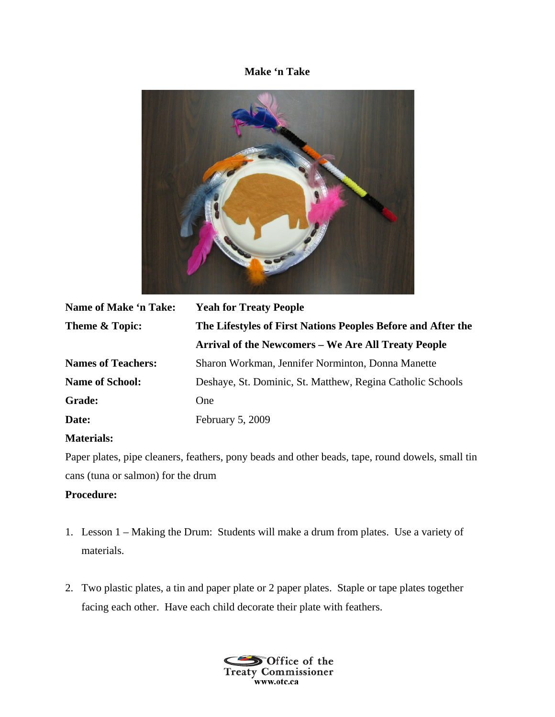## **Make 'n Take**



| Name of Make 'n Take:     | <b>Yeah for Treaty People</b>                                |
|---------------------------|--------------------------------------------------------------|
| Theme & Topic:            | The Lifestyles of First Nations Peoples Before and After the |
|                           | <b>Arrival of the Newcomers – We Are All Treaty People</b>   |
| <b>Names of Teachers:</b> | Sharon Workman, Jennifer Norminton, Donna Manette            |
| <b>Name of School:</b>    | Deshaye, St. Dominic, St. Matthew, Regina Catholic Schools   |
| <b>Grade:</b>             | One                                                          |
| Date:                     | February 5, 2009                                             |

## **Materials:**

Paper plates, pipe cleaners, feathers, pony beads and other beads, tape, round dowels, small tin cans (tuna or salmon) for the drum

## **Procedure:**

- 1. Lesson 1 Making the Drum: Students will make a drum from plates. Use a variety of materials.
- 2. Two plastic plates, a tin and paper plate or 2 paper plates. Staple or tape plates together facing each other. Have each child decorate their plate with feathers.

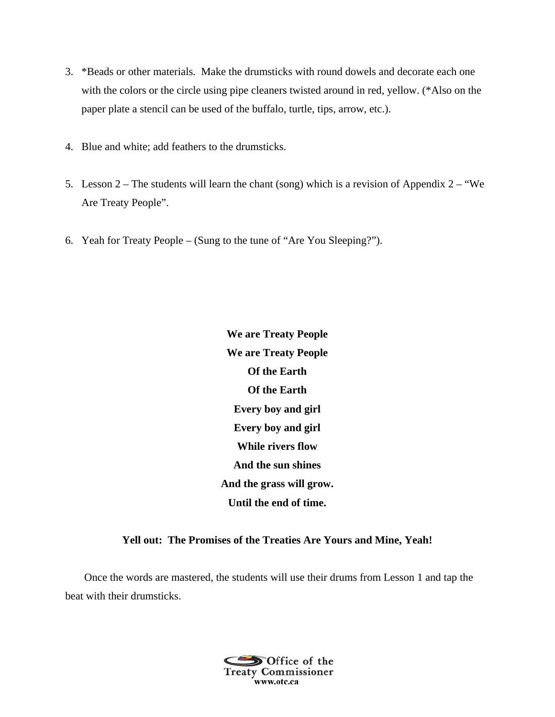- 3. \*Beads or other materials. Make the drumsticks with round dowels and decorate each one with the colors or the circle using pipe cleaners twisted around in red, yellow. (\*Also on the paper plate a stencil can be used of the buffalo, turtle, tips, arrow, etc.).
- 4. Blue and white; add feathers to the drumsticks.
- 5. Lesson  $2$  The students will learn the chant (song) which is a revision of Appendix  $2 -$  "We Are Treaty People".
- 6. Yeah for Treaty People (Sung to the tune of "Are You Sleeping?").

**We are Treaty People We are Treaty People Of the Earth Of the Earth Every boy and girl Every boy and girl While rivers flow And the sun shines And the grass will grow. Until the end of time.** 

**Yell out: The Promises of the Treaties Are Yours and Mine, Yeah!** 

Once the words are mastered, the students will use their drums from Lesson 1 and tap the beat with their drumsticks.